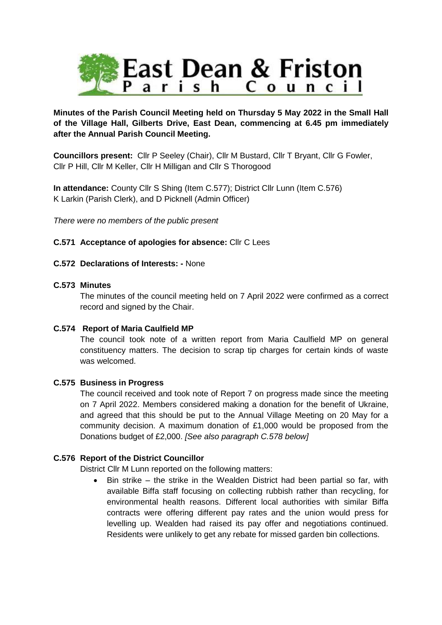

# **Minutes of the Parish Council Meeting held on Thursday 5 May 2022 in the Small Hall of the Village Hall, Gilberts Drive, East Dean, commencing at 6.45 pm immediately after the Annual Parish Council Meeting.**

**Councillors present:** Cllr P Seeley (Chair), Cllr M Bustard, Cllr T Bryant, Cllr G Fowler, Cllr P Hill, Cllr M Keller, Cllr H Milligan and Cllr S Thorogood

**In attendance:** County Cllr S Shing (Item C.577); District Cllr Lunn (Item C.576) K Larkin (Parish Clerk), and D Picknell (Admin Officer)

*There were no members of the public present*

# **C.571 Acceptance of apologies for absence:** Cllr C Lees

## **C.572 Declarations of Interests: -** None

### **C.573 Minutes**

The minutes of the council meeting held on 7 April 2022 were confirmed as a correct record and signed by the Chair.

## **C.574 Report of Maria Caulfield MP**

The council took note of a written report from Maria Caulfield MP on general constituency matters. The decision to scrap tip charges for certain kinds of waste was welcomed.

### **C.575 Business in Progress**

The council received and took note of Report 7 on progress made since the meeting on 7 April 2022. Members considered making a donation for the benefit of Ukraine, and agreed that this should be put to the Annual Village Meeting on 20 May for a community decision. A maximum donation of £1,000 would be proposed from the Donations budget of £2,000. *[See also paragraph C.578 below]*

# **C.576 Report of the District Councillor**

District Cllr M Lunn reported on the following matters:

• Bin strike – the strike in the Wealden District had been partial so far, with available Biffa staff focusing on collecting rubbish rather than recycling, for environmental health reasons. Different local authorities with similar Biffa contracts were offering different pay rates and the union would press for levelling up. Wealden had raised its pay offer and negotiations continued. Residents were unlikely to get any rebate for missed garden bin collections.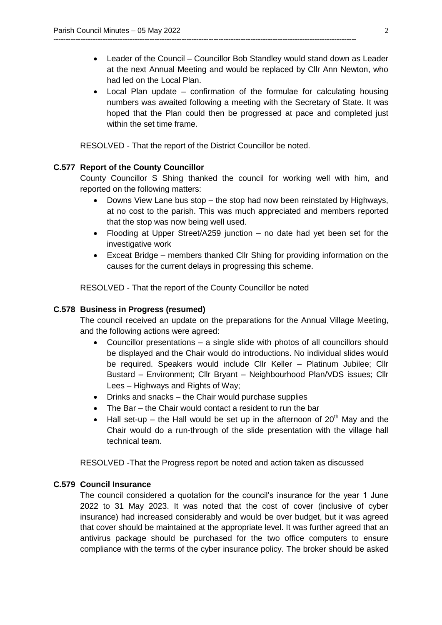- Leader of the Council Councillor Bob Standley would stand down as Leader at the next Annual Meeting and would be replaced by Cllr Ann Newton, who had led on the Local Plan.
- Local Plan update confirmation of the formulae for calculating housing numbers was awaited following a meeting with the Secretary of State. It was hoped that the Plan could then be progressed at pace and completed just within the set time frame.

RESOLVED - That the report of the District Councillor be noted.

---------------------------------------------------------------------------------------------------------------------------

#### **C.577 Report of the County Councillor**

County Councillor S Shing thanked the council for working well with him, and reported on the following matters:

- Downs View Lane bus stop the stop had now been reinstated by Highways, at no cost to the parish. This was much appreciated and members reported that the stop was now being well used.
- Flooding at Upper Street/A259 junction no date had yet been set for the investigative work
- Exceat Bridge members thanked Cllr Shing for providing information on the causes for the current delays in progressing this scheme.

RESOLVED - That the report of the County Councillor be noted

#### **C.578 Business in Progress (resumed)**

The council received an update on the preparations for the Annual Village Meeting, and the following actions were agreed:

- Councillor presentations a single slide with photos of all councillors should be displayed and the Chair would do introductions. No individual slides would be required. Speakers would include Cllr Keller – Platinum Jubilee; Cllr Bustard – Environment; Cllr Bryant – Neighbourhood Plan/VDS issues; Cllr Lees – Highways and Rights of Way;
- Drinks and snacks the Chair would purchase supplies
- The Bar the Chair would contact a resident to run the bar
- Hall set-up the Hall would be set up in the afternoon of  $20<sup>th</sup>$  May and the Chair would do a run-through of the slide presentation with the village hall technical team.

RESOLVED -That the Progress report be noted and action taken as discussed

### **C.579 Council Insurance**

The council considered a quotation for the council's insurance for the year 1 June 2022 to 31 May 2023. It was noted that the cost of cover (inclusive of cyber insurance) had increased considerably and would be over budget, but it was agreed that cover should be maintained at the appropriate level. It was further agreed that an antivirus package should be purchased for the two office computers to ensure compliance with the terms of the cyber insurance policy. The broker should be asked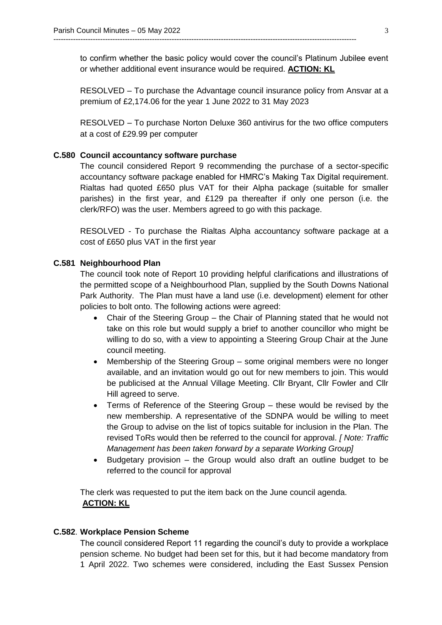to confirm whether the basic policy would cover the council's Platinum Jubilee event or whether additional event insurance would be required. **ACTION: KL**

---------------------------------------------------------------------------------------------------------------------------

RESOLVED – To purchase the Advantage council insurance policy from Ansvar at a premium of £2,174.06 for the year 1 June 2022 to 31 May 2023

RESOLVED – To purchase Norton Deluxe 360 antivirus for the two office computers at a cost of £29.99 per computer

#### **C.580 Council accountancy software purchase**

The council considered Report 9 recommending the purchase of a sector-specific accountancy software package enabled for HMRC's Making Tax Digital requirement. Rialtas had quoted £650 plus VAT for their Alpha package (suitable for smaller parishes) in the first year, and £129 pa thereafter if only one person (i.e. the clerk/RFO) was the user. Members agreed to go with this package.

RESOLVED - To purchase the Rialtas Alpha accountancy software package at a cost of £650 plus VAT in the first year

### **C.581 Neighbourhood Plan**

The council took note of Report 10 providing helpful clarifications and illustrations of the permitted scope of a Neighbourhood Plan, supplied by the South Downs National Park Authority. The Plan must have a land use (i.e. development) element for other policies to bolt onto. The following actions were agreed:

- Chair of the Steering Group the Chair of Planning stated that he would not take on this role but would supply a brief to another councillor who might be willing to do so, with a view to appointing a Steering Group Chair at the June council meeting.
- Membership of the Steering Group some original members were no longer available, and an invitation would go out for new members to join. This would be publicised at the Annual Village Meeting. Cllr Bryant, Cllr Fowler and Cllr Hill agreed to serve.
- Terms of Reference of the Steering Group these would be revised by the new membership. A representative of the SDNPA would be willing to meet the Group to advise on the list of topics suitable for inclusion in the Plan. The revised ToRs would then be referred to the council for approval. *[ Note: Traffic Management has been taken forward by a separate Working Group]*
- Budgetary provision the Group would also draft an outline budget to be referred to the council for approval

The clerk was requested to put the item back on the June council agenda. **ACTION: KL**

### **C.582**. **Workplace Pension Scheme**

The council considered Report 11 regarding the council's duty to provide a workplace pension scheme. No budget had been set for this, but it had become mandatory from 1 April 2022. Two schemes were considered, including the East Sussex Pension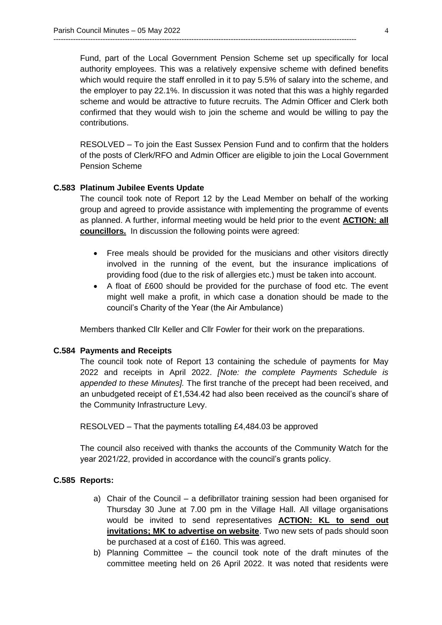Fund, part of the Local Government Pension Scheme set up specifically for local authority employees. This was a relatively expensive scheme with defined benefits which would require the staff enrolled in it to pay 5.5% of salary into the scheme, and the employer to pay 22.1%. In discussion it was noted that this was a highly regarded scheme and would be attractive to future recruits. The Admin Officer and Clerk both confirmed that they would wish to join the scheme and would be willing to pay the contributions.

---------------------------------------------------------------------------------------------------------------------------

RESOLVED – To join the East Sussex Pension Fund and to confirm that the holders of the posts of Clerk/RFO and Admin Officer are eligible to join the Local Government Pension Scheme

### **C.583 Platinum Jubilee Events Update**

The council took note of Report 12 by the Lead Member on behalf of the working group and agreed to provide assistance with implementing the programme of events as planned. A further, informal meeting would be held prior to the event **ACTION: all councillors.** In discussion the following points were agreed:

- Free meals should be provided for the musicians and other visitors directly involved in the running of the event, but the insurance implications of providing food (due to the risk of allergies etc.) must be taken into account.
- A float of £600 should be provided for the purchase of food etc. The event might well make a profit, in which case a donation should be made to the council's Charity of the Year (the Air Ambulance)

Members thanked Cllr Keller and Cllr Fowler for their work on the preparations.

#### **C.584 Payments and Receipts**

The council took note of Report 13 containing the schedule of payments for May 2022 and receipts in April 2022. *[Note: the complete Payments Schedule is appended to these Minutes].* The first tranche of the precept had been received, and an unbudgeted receipt of £1,534.42 had also been received as the council's share of the Community Infrastructure Levy.

RESOLVED – That the payments totalling £4,484.03 be approved

The council also received with thanks the accounts of the Community Watch for the year 2021/22, provided in accordance with the council's grants policy.

#### **C.585 Reports:**

- a) Chair of the Council a defibrillator training session had been organised for Thursday 30 June at 7.00 pm in the Village Hall. All village organisations would be invited to send representatives **ACTION: KL to send out invitations; MK to advertise on website**. Two new sets of pads should soon be purchased at a cost of £160. This was agreed.
- b) Planning Committee the council took note of the draft minutes of the committee meeting held on 26 April 2022. It was noted that residents were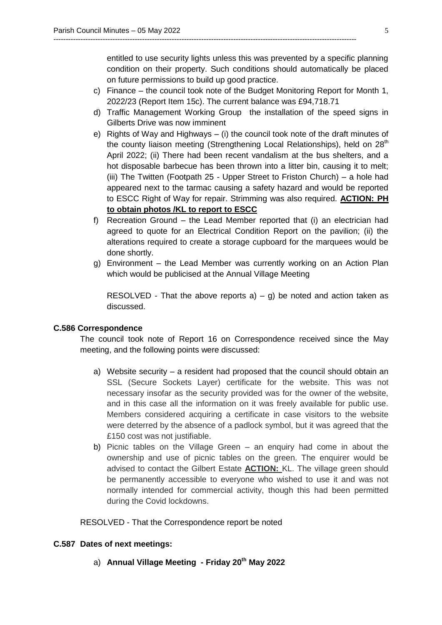entitled to use security lights unless this was prevented by a specific planning condition on their property. Such conditions should automatically be placed on future permissions to build up good practice.

c) Finance – the council took note of the Budget Monitoring Report for Month 1, 2022/23 (Report Item 15c). The current balance was £94,718.71

---------------------------------------------------------------------------------------------------------------------------

- d) Traffic Management Working Group the installation of the speed signs in Gilberts Drive was now imminent
- e) Rights of Way and Highways  $-$  (i) the council took note of the draft minutes of the county liaison meeting (Strengthening Local Relationships), held on 28<sup>th</sup> April 2022; (ii) There had been recent vandalism at the bus shelters, and a hot disposable barbecue has been thrown into a litter bin, causing it to melt; (iii) The Twitten (Footpath 25 - Upper Street to Friston Church) – a hole had appeared next to the tarmac causing a safety hazard and would be reported to ESCC Right of Way for repair. Strimming was also required. **ACTION: PH to obtain photos /KL to report to ESCC**
- f) Recreation Ground the Lead Member reported that (i) an electrician had agreed to quote for an Electrical Condition Report on the pavilion; (ii) the alterations required to create a storage cupboard for the marquees would be done shortly.
- g) Environment the Lead Member was currently working on an Action Plan which would be publicised at the Annual Village Meeting

RESOLVED - That the above reports  $a$ ) – g) be noted and action taken as discussed.

### **C.586 Correspondence**

The council took note of Report 16 on Correspondence received since the May meeting, and the following points were discussed:

- a) Website security a resident had proposed that the council should obtain an SSL (Secure Sockets Layer) certificate for the website. This was not necessary insofar as the security provided was for the owner of the website, and in this case all the information on it was freely available for public use. Members considered acquiring a certificate in case visitors to the website were deterred by the absence of a padlock symbol, but it was agreed that the £150 cost was not justifiable.
- b) Picnic tables on the Village Green an enquiry had come in about the ownership and use of picnic tables on the green. The enquirer would be advised to contact the Gilbert Estate **ACTION:** KL. The village green should be permanently accessible to everyone who wished to use it and was not normally intended for commercial activity, though this had been permitted during the Covid lockdowns.

RESOLVED - That the Correspondence report be noted

### **C.587 Dates of next meetings:**

a) **Annual Village Meeting - Friday 20th May 2022**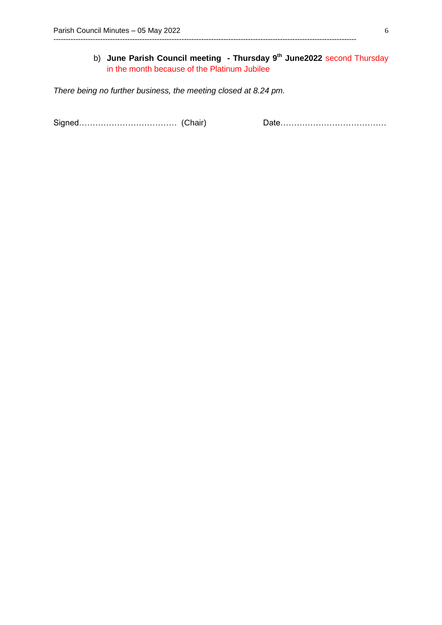# b) **June Parish Council meeting - Thursday 9th June2022** second Thursday in the month because of the Platinum Jubilee

*There being no further business, the meeting closed at 8.24 pm.* 

---------------------------------------------------------------------------------------------------------------------------

Signed……………………………… (Chair) Date…………………………………